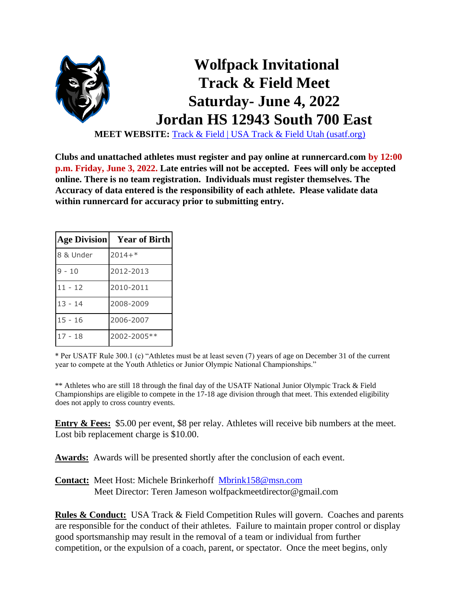

**MEET WEBSITE:** [Track & Field | USA Track & Field Utah \(usatf.org\)](https://utah.usatf.org/disciplines/track-field)

**Clubs and unattached athletes must register and pay online at runnercard.com [b](http://www.athletic.net/)y 12:00 p.m. Friday, June 3, 2022. Late entries will not be accepted. Fees will only be accepted online. There is no team registration. Individuals must register themselves. The Accuracy of data entered is the responsibility of each athlete. Please validate data within runnercard for accuracy prior to submitting entry.** 

| <b>Age Division</b> | <b>Year of Birth</b> |
|---------------------|----------------------|
| 8 & Under           | $2014+*$             |
| $9 - 10$            | 2012-2013            |
| $11 - 12$           | 2010-2011            |
| $13 - 14$           | 2008-2009            |
| $15 - 16$           | 2006-2007            |
| $17 - 18$           | 2002-2005 **         |

\* Per USATF Rule 300.1 (c) "Athletes must be at least seven (7) years of age on December 31 of the current year to compete at the Youth Athletics or Junior Olympic National Championships."

\*\* Athletes who are still 18 through the final day of the USATF National Junior Olympic Track & Field Championships are eligible to compete in the 17-18 age division through that meet. This extended eligibility does not apply to cross country events.

**Entry & Fees:** \$5.00 per event, \$8 per relay. Athletes will receive bib numbers at the meet. Lost bib replacement charge is \$10.00.

Awards: Awards will be presented shortly after the conclusion of each event.

**Contact:** Meet Host: Michele Brinkerhoff Mbrink158@msn.com Meet Director: Teren Jameson wolfpackmeetdirector@gmail.com

**Rules & Conduct:** USA Track & Field Competition Rules will govern. Coaches and parents are responsible for the conduct of their athletes. Failure to maintain proper control or display good sportsmanship may result in the removal of a team or individual from further competition, or the expulsion of a coach, parent, or spectator. Once the meet begins, only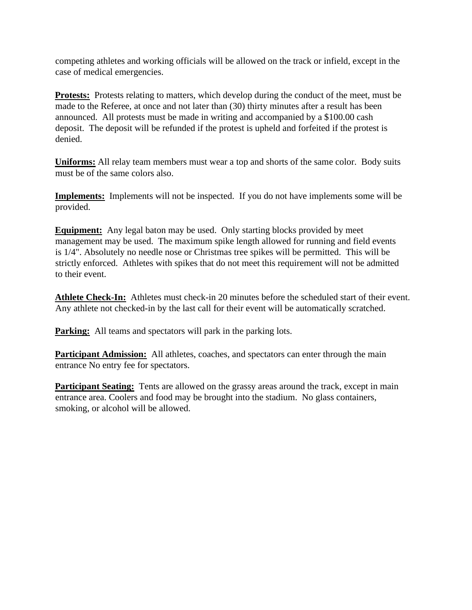competing athletes and working officials will be allowed on the track or infield, except in the case of medical emergencies.

**Protests:** Protests relating to matters, which develop during the conduct of the meet, must be made to the Referee, at once and not later than (30) thirty minutes after a result has been announced. All protests must be made in writing and accompanied by a \$100.00 cash deposit. The deposit will be refunded if the protest is upheld and forfeited if the protest is denied.

**Uniforms:** All relay team members must wear a top and shorts of the same color. Body suits must be of the same colors also.

**Implements:** Implements will not be inspected. If you do not have implements some will be provided.

**Equipment:** Any legal baton may be used. Only starting blocks provided by meet management may be used. The maximum spike length allowed for running and field events is 1/4". Absolutely no needle nose or Christmas tree spikes will be permitted. This will be strictly enforced. Athletes with spikes that do not meet this requirement will not be admitted to their event.

**Athlete Check-In:** Athletes must check-in 20 minutes before the scheduled start of their event. Any athlete not checked-in by the last call for their event will be automatically scratched.

**Parking:** All teams and spectators will park in the parking lots.

**Participant Admission:** All athletes, coaches, and spectators can enter through the main entrance No entry fee for spectators.

**Participant Seating:** Tents are allowed on the grassy areas around the track, except in main entrance area. Coolers and food may be brought into the stadium. No glass containers, smoking, or alcohol will be allowed.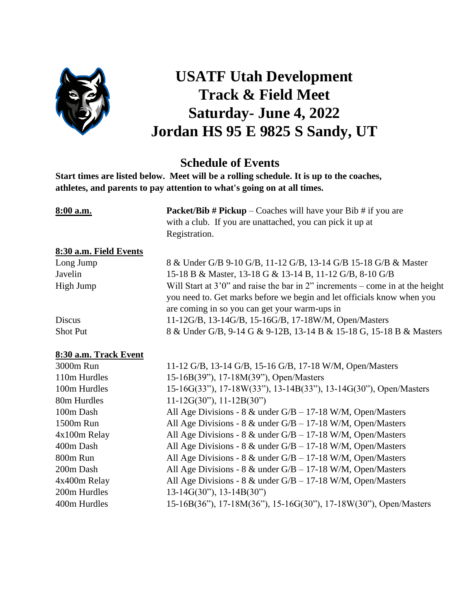

## **USATF Utah Development Track & Field Meet Saturday- June 4, 2022 Jordan HS 95 E 9825 S Sandy, UT**

## **Schedule of Events**

**Start times are listed below. Meet will be a rolling schedule. It is up to the coaches, athletes, and parents to pay attention to what's going on at all times.**

| 8:00 a.m.              | <b>Packet/Bib # Pickup</b> – Coaches will have your Bib # if you are<br>with a club. If you are unattached, you can pick it up at<br>Registration.                                                          |  |  |
|------------------------|-------------------------------------------------------------------------------------------------------------------------------------------------------------------------------------------------------------|--|--|
| 8:30 a.m. Field Events |                                                                                                                                                                                                             |  |  |
| Long Jump              | 8 & Under G/B 9-10 G/B, 11-12 G/B, 13-14 G/B 15-18 G/B & Master                                                                                                                                             |  |  |
| Javelin                | 15-18 B & Master, 13-18 G & 13-14 B, 11-12 G/B, 8-10 G/B                                                                                                                                                    |  |  |
| High Jump              | Will Start at $3'0''$ and raise the bar in 2" increments – come in at the height<br>you need to. Get marks before we begin and let officials know when you<br>are coming in so you can get your warm-ups in |  |  |
| <b>Discus</b>          | 11-12G/B, 13-14G/B, 15-16G/B, 17-18W/M, Open/Masters                                                                                                                                                        |  |  |
| <b>Shot Put</b>        | 8 & Under G/B, 9-14 G & 9-12B, 13-14 B & 15-18 G, 15-18 B & Masters                                                                                                                                         |  |  |
| 8:30 a.m. Track Event  |                                                                                                                                                                                                             |  |  |
| 3000m Run              | 11-12 G/B, 13-14 G/B, 15-16 G/B, 17-18 W/M, Open/Masters                                                                                                                                                    |  |  |

| 3000m Run    | 11-12 G/B, 13-14 G/B, 15-16 G/B, 17-18 W/M, Open/Masters         |
|--------------|------------------------------------------------------------------|
| 110m Hurdles | 15-16B(39"), 17-18M(39"), Open/Masters                           |
| 100m Hurdles | 15-16G(33"), 17-18W(33"), 13-14B(33"), 13-14G(30"), Open/Masters |
| 80m Hurdles  | $11-12G(30")$ , $11-12B(30")$                                    |
| 100m Dash    | All Age Divisions - $8 \&$ under G/B - 17-18 W/M, Open/Masters   |
| 1500m Run    | All Age Divisions - $8 \&$ under G/B – 17-18 W/M, Open/Masters   |
| 4x100m Relay | All Age Divisions - $8 \&$ under G/B – 17-18 W/M, Open/Masters   |
| 400m Dash    | All Age Divisions - $8 \&$ under G/B - 17-18 W/M, Open/Masters   |
| 800m Run     | All Age Divisions - $8 \&$ under G/B - 17-18 W/M, Open/Masters   |
| 200m Dash    | All Age Divisions - $8 \&$ under G/B - 17-18 W/M, Open/Masters   |
| 4x400m Relay | All Age Divisions - $8 \&$ under G/B – 17-18 W/M, Open/Masters   |
| 200m Hurdles | $13-14G(30")$ , $13-14B(30")$                                    |
| 400m Hurdles | 15-16B(36"), 17-18M(36"), 15-16G(30"), 17-18W(30"), Open/Masters |
|              |                                                                  |